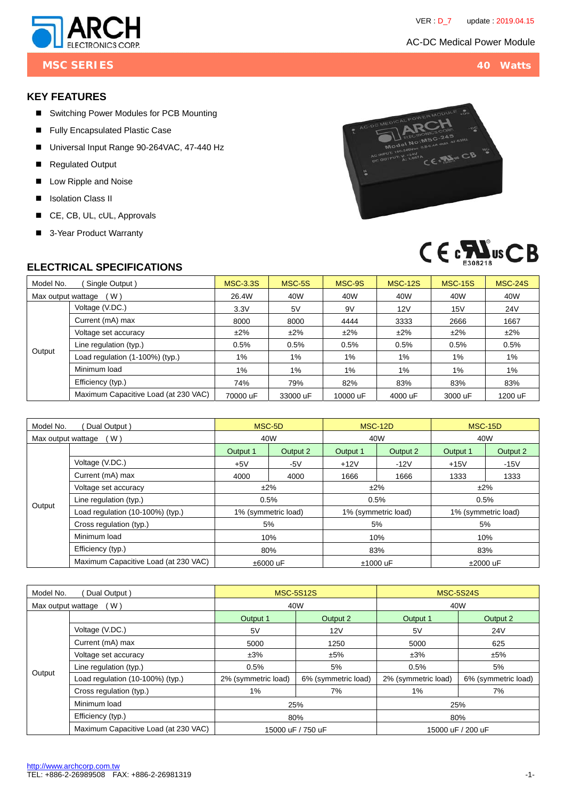

**MSC SERIES 40 Watts**

# **KEY FEATURES**

- Switching Power Modules for PCB Mounting
- **Fully Encapsulated Plastic Case**
- Universal Input Range 90-264VAC, 47-440 Hz
- Regulated Output
- Low Ripple and Noise
- **I** Isolation Class II
- CE, CB, UL, cUL, Approvals
- 3-Year Product Warranty





#### **ELECTRICAL SPECIFICATIONS**

| Model No.                 | Single Output)                       | <b>MSC-3.3S</b> | MSC-5S   | MSC-9S   | <b>MSC-12S</b> | <b>MSC-15S</b> | <b>MSC-24S</b> |
|---------------------------|--------------------------------------|-----------------|----------|----------|----------------|----------------|----------------|
| (W)<br>Max output wattage |                                      | 26.4W           | 40W      | 40W      | 40W            | 40W            | 40W            |
|                           | Voltage (V.DC.)                      | 3.3V            | 5V       | 9V       | 12V            | 15V            | <b>24V</b>     |
| Output                    | Current (mA) max                     | 8000            | 8000     | 4444     | 3333           | 2666           | 1667           |
|                           | Voltage set accuracy                 | $±2\%$          | $±2\%$   | $±2\%$   | $±2\%$         | ±2%            | $±2\%$         |
|                           | Line regulation (typ.)               | 0.5%            | 0.5%     | 0.5%     | 0.5%           | 0.5%           | 0.5%           |
|                           | Load regulation (1-100%) (typ.)      | 1%              | 1%       | 1%       | $1\%$          | 1%             | 1%             |
|                           | Minimum load                         | 1%              | 1%       | $1\%$    | 1%             | $1\%$          | $1\%$          |
|                           | Efficiency (typ.)                    | 74%             | 79%      | 82%      | 83%            | 83%            | 83%            |
|                           | Maximum Capacitive Load (at 230 VAC) | 70000 uF        | 33000 uF | 10000 uF | 4000 uF        | 3000 uF        | 1200 uF        |

| Model No.<br>Dual Output) |                                      | MSC-5D              |          | MSC-12D             |          | <b>MSC-15D</b>      |          |
|---------------------------|--------------------------------------|---------------------|----------|---------------------|----------|---------------------|----------|
| (W)<br>Max output wattage |                                      | 40W                 |          | 40W                 |          | 40W                 |          |
|                           |                                      | Output 1            | Output 2 | Output 1            | Output 2 | Output 1            | Output 2 |
|                           | Voltage (V.DC.)                      | $+5V$               | $-5V$    | $+12V$              | $-12V$   | $+15V$              | $-15V$   |
|                           | Current (mA) max                     | 4000                | 4000     | 1666                | 1666     | 1333                | 1333     |
| Output                    | Voltage set accuracy                 | $±2\%$              |          | ±2%                 |          | ±2%                 |          |
|                           | Line regulation (typ.)               | 0.5%                |          | 0.5%                |          | 0.5%                |          |
|                           | Load regulation (10-100%) (typ.)     | 1% (symmetric load) |          | 1% (symmetric load) |          | 1% (symmetric load) |          |
|                           | Cross regulation (typ.)              | 5%                  |          | 5%                  |          | 5%                  |          |
|                           | Minimum load                         | 10%                 |          | 10%                 |          | 10%                 |          |
|                           | Efficiency (typ.)                    | 80%                 |          | 83%                 |          | 83%                 |          |
|                           | Maximum Capacitive Load (at 230 VAC) | ±6000 uF            |          | $±1000$ uF          |          | ±2000 uF            |          |

| Dual Output)<br>Model No. |                                      |                      | <b>MSC-5S12S</b>    | <b>MSC-5S24S</b>    |                     |  |
|---------------------------|--------------------------------------|----------------------|---------------------|---------------------|---------------------|--|
| (W)<br>Max output wattage |                                      |                      | 40W                 | 40W                 |                     |  |
|                           |                                      | Output 1<br>Output 2 |                     | Output 1            | Output 2            |  |
|                           | Voltage (V.DC.)                      | 5V                   | 12V                 | 5V                  | 24 <sub>V</sub>     |  |
| Output                    | Current (mA) max                     | 5000                 | 1250                | 5000                | 625                 |  |
|                           | Voltage set accuracy                 | ±3%                  | ±5%                 | ±3%                 | ±5%                 |  |
|                           | Line regulation (typ.)               | 0.5%                 | 5%                  | 0.5%                | 5%                  |  |
|                           | Load regulation (10-100%) (typ.)     | 2% (symmetric load)  | 6% (symmetric load) | 2% (symmetric load) | 6% (symmetric load) |  |
|                           | Cross regulation (typ.)              | 1%                   | 7%                  | 1%                  | 7%                  |  |
|                           | Minimum load                         |                      | 25%                 | 25%                 |                     |  |
|                           | Efficiency (typ.)                    | 80%                  |                     | 80%                 |                     |  |
|                           | Maximum Capacitive Load (at 230 VAC) |                      | 15000 uF / 750 uF   | 15000 uF / 200 uF   |                     |  |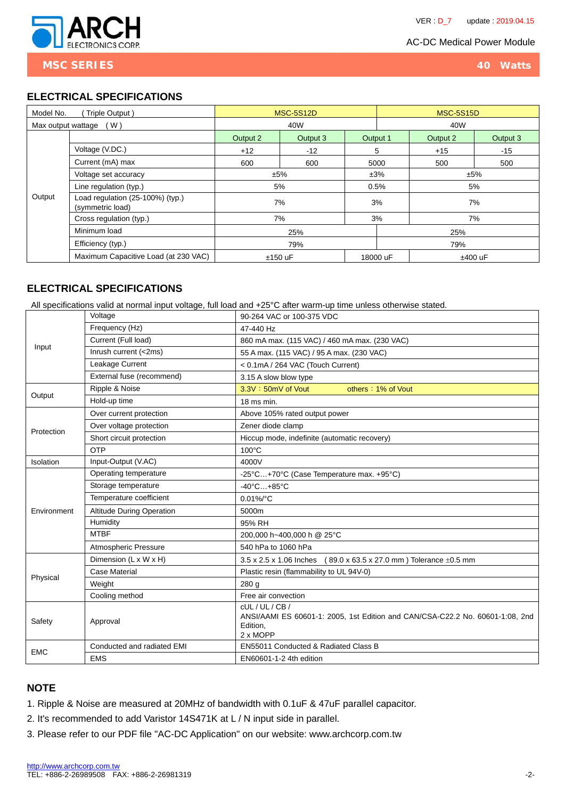

**MSC SERIES 40 Watts**

#### **ELECTRICAL SPECIFICATIONS**

| Model No.<br>Triple Output) |                                                      | <b>MSC-5S12D</b> |          |          | <b>MSC-5S15D</b>      |          |          |  |
|-----------------------------|------------------------------------------------------|------------------|----------|----------|-----------------------|----------|----------|--|
| (W)<br>Max output wattage   |                                                      | 40W              |          |          | 40W                   |          |          |  |
|                             |                                                      | Output 2         | Output 3 | Output 1 |                       | Output 2 | Output 3 |  |
|                             | Voltage (V.DC.)                                      | $+12$            | $-12$    |          | 5                     | $+15$    | $-15$    |  |
|                             | Current (mA) max                                     | 600              | 600      |          | 5000                  | 500      | 500      |  |
|                             | Voltage set accuracy                                 | ±5%              |          | ±3%      | ±5%                   |          |          |  |
|                             | Line regulation (typ.)                               | 5%               |          |          | 0.5%                  |          | 5%       |  |
| Output                      | Load regulation (25-100%) (typ.)<br>(symmetric load) | 7%               |          |          | 3%<br>7%              |          |          |  |
|                             | Cross regulation (typ.)                              | 7%               |          |          | 3%                    |          | 7%       |  |
|                             | Minimum load                                         | 25%              |          |          | 25%                   |          |          |  |
|                             | Efficiency (typ.)                                    | 79%              |          |          | 79%                   |          |          |  |
|                             | Maximum Capacitive Load (at 230 VAC)                 | $±150$ uF        |          |          | 18000 uF<br>$±400$ uF |          |          |  |

# **ELECTRICAL SPECIFICATIONS**

All specifications valid at normal input voltage, full load and +25°C after warm-up time unless otherwise stated.

|             | Voltage                    | 90-264 VAC or 100-375 VDC                                                                                           |  |  |  |  |  |
|-------------|----------------------------|---------------------------------------------------------------------------------------------------------------------|--|--|--|--|--|
| Input       | Frequency (Hz)             | 47-440 Hz                                                                                                           |  |  |  |  |  |
|             | Current (Full load)        | 860 mA max. (115 VAC) / 460 mA max. (230 VAC)                                                                       |  |  |  |  |  |
|             | Inrush current (<2ms)      | 55 A max. (115 VAC) / 95 A max. (230 VAC)                                                                           |  |  |  |  |  |
|             | Leakage Current            | < 0.1mA / 264 VAC (Touch Current)                                                                                   |  |  |  |  |  |
|             | External fuse (recommend)  | 3.15 A slow blow type                                                                                               |  |  |  |  |  |
| Output      | Ripple & Noise             | $3.3V : 50mV$ of Vout<br>others: 1% of Vout                                                                         |  |  |  |  |  |
|             | Hold-up time               | 18 ms min.                                                                                                          |  |  |  |  |  |
|             | Over current protection    | Above 105% rated output power                                                                                       |  |  |  |  |  |
| Protection  | Over voltage protection    | Zener diode clamp                                                                                                   |  |  |  |  |  |
|             | Short circuit protection   | Hiccup mode, indefinite (automatic recovery)                                                                        |  |  |  |  |  |
|             | <b>OTP</b>                 | $100^{\circ}$ C                                                                                                     |  |  |  |  |  |
| Isolation   | Input-Output (V.AC)        | 4000V                                                                                                               |  |  |  |  |  |
|             | Operating temperature      | -25°C+70°C (Case Temperature max. +95°C)                                                                            |  |  |  |  |  |
|             | Storage temperature        | $-40^{\circ}$ C $+85^{\circ}$ C                                                                                     |  |  |  |  |  |
|             | Temperature coefficient    | $0.01\%$ <sup>o</sup> C                                                                                             |  |  |  |  |  |
| Environment | Altitude During Operation  | 5000m                                                                                                               |  |  |  |  |  |
|             | Humidity                   | 95% RH                                                                                                              |  |  |  |  |  |
|             | <b>MTBF</b>                | 200,000 h~400,000 h @ 25°C                                                                                          |  |  |  |  |  |
|             | Atmospheric Pressure       | 540 hPa to 1060 hPa                                                                                                 |  |  |  |  |  |
|             | Dimension (L x W x H)      | $(89.0 \times 63.5 \times 27.0 \text{ mm})$ Tolerance $\pm 0.5 \text{ mm}$<br>3.5 x 2.5 x 1.06 Inches               |  |  |  |  |  |
|             | <b>Case Material</b>       | Plastic resin (flammability to UL 94V-0)                                                                            |  |  |  |  |  |
| Physical    | Weight                     | 280 g                                                                                                               |  |  |  |  |  |
|             | Cooling method             | Free air convection                                                                                                 |  |  |  |  |  |
| Safety      | Approval                   | cUL/UL/CB/<br>ANSI/AAMI ES 60601-1: 2005, 1st Edition and CAN/CSA-C22.2 No. 60601-1:08, 2nd<br>Edition.<br>2 x MOPP |  |  |  |  |  |
|             | Conducted and radiated EMI | EN55011 Conducted & Radiated Class B                                                                                |  |  |  |  |  |
| <b>EMC</b>  | <b>EMS</b>                 | EN60601-1-2 4th edition                                                                                             |  |  |  |  |  |

# **NOTE**

- 1. Ripple & Noise are measured at 20MHz of bandwidth with 0.1uF & 47uF parallel capacitor.
- 2. It's recommended to add Varistor 14S471K at L / N input side in parallel.
- 3. Please refer to our PDF file "AC-DC Application" on our website: www.archcorp.com.tw